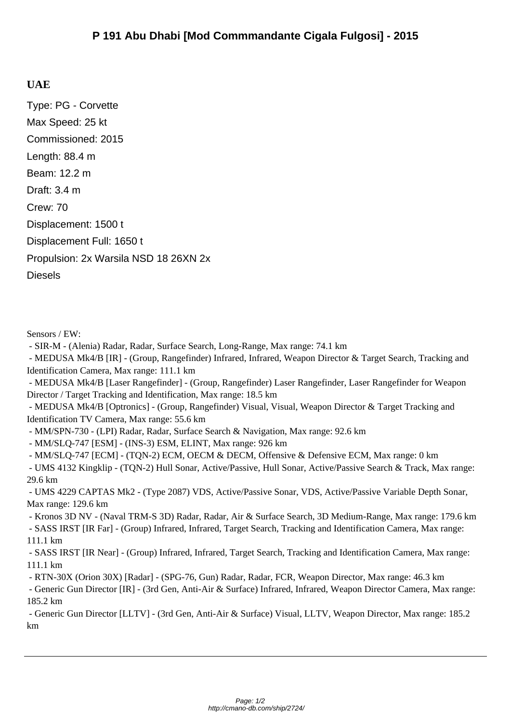## **UAE**

Type: PG - Corvette Max Speed: 25 kt Commissioned: 2015 Length: 88.4 m Beam: 12.2 m Draft: 3.4 m Crew: 70 Displacement: 1500 t Displacement Full: 1650 t Propulsion: 2x Warsila NSD 18 26XN 2x **Diesels** 

Sensors / EW:

- SIR-M - (Alenia) Radar, Radar, Surface Search, Long-Range, Max range: 74.1 km

 - MEDUSA Mk4/B [IR] - (Group, Rangefinder) Infrared, Infrared, Weapon Director & Target Search, Tracking and Identification Camera, Max range: 111.1 km

 - MEDUSA Mk4/B [Laser Rangefinder] - (Group, Rangefinder) Laser Rangefinder, Laser Rangefinder for Weapon Director / Target Tracking and Identification, Max range: 18.5 km

 - MEDUSA Mk4/B [Optronics] - (Group, Rangefinder) Visual, Visual, Weapon Director & Target Tracking and Identification TV Camera, Max range: 55.6 km

- MM/SPN-730 - (LPI) Radar, Radar, Surface Search & Navigation, Max range: 92.6 km

- MM/SLQ-747 [ESM] - (INS-3) ESM, ELINT, Max range: 926 km

- MM/SLQ-747 [ECM] - (TQN-2) ECM, OECM & DECM, Offensive & Defensive ECM, Max range: 0 km

 - UMS 4132 Kingklip - (TQN-2) Hull Sonar, Active/Passive, Hull Sonar, Active/Passive Search & Track, Max range: 29.6 km

 - UMS 4229 CAPTAS Mk2 - (Type 2087) VDS, Active/Passive Sonar, VDS, Active/Passive Variable Depth Sonar, Max range: 129.6 km

 - Kronos 3D NV - (Naval TRM-S 3D) Radar, Radar, Air & Surface Search, 3D Medium-Range, Max range: 179.6 km - SASS IRST [IR Far] - (Group) Infrared, Infrared, Target Search, Tracking and Identification Camera, Max range: 111.1 km

 - SASS IRST [IR Near] - (Group) Infrared, Infrared, Target Search, Tracking and Identification Camera, Max range: 111.1 km

- RTN-30X (Orion 30X) [Radar] - (SPG-76, Gun) Radar, Radar, FCR, Weapon Director, Max range: 46.3 km

 - Generic Gun Director [IR] - (3rd Gen, Anti-Air & Surface) Infrared, Infrared, Weapon Director Camera, Max range: 185.2 km

 - Generic Gun Director [LLTV] - (3rd Gen, Anti-Air & Surface) Visual, LLTV, Weapon Director, Max range: 185.2 km